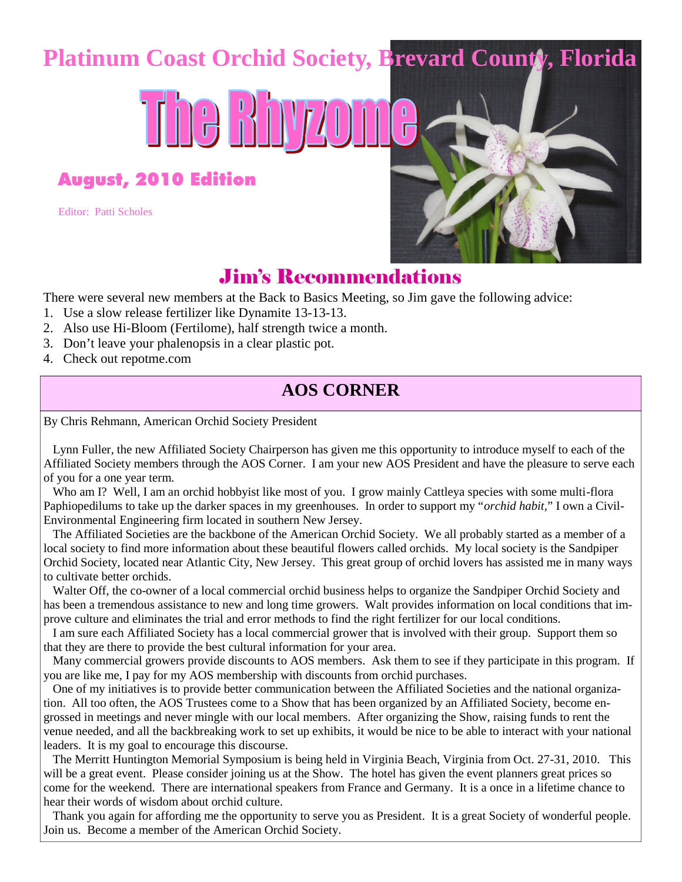## **Platinum Coast Orchid Society, Brevard County, Florida**

The Bhyzo

August, 2010 Edition

Editor: Patti Scholes



## Jim's Recommendations

There were several new members at the Back to Basics Meeting, so Jim gave the following advice:

- 1. Use a slow release fertilizer like Dynamite 13-13-13.
- 2. Also use Hi-Bloom (Fertilome), half strength twice a month.
- 3. Don't leave your phalenopsis in a clear plastic pot.
- 4. Check out repotme.com

### **AOS CORNER**

By Chris Rehmann, American Orchid Society President

Lynn Fuller, the new Affiliated Society Chairperson has given me this opportunity to introduce myself to each of the Affiliated Society members through the AOS Corner. I am your new AOS President and have the pleasure to serve each of you for a one year term.

Who am I? Well, I am an orchid hobbyist like most of you. I grow mainly Cattleya species with some multi-flora Paphiopedilums to take up the darker spaces in my greenhouses. In order to support my "*orchid habit,*" I own a Civil-Environmental Engineering firm located in southern New Jersey.

The Affiliated Societies are the backbone of the American Orchid Society. We all probably started as a member of a local society to find more information about these beautiful flowers called orchids. My local society is the Sandpiper Orchid Society, located near Atlantic City, New Jersey. This great group of orchid lovers has assisted me in many ways to cultivate better orchids.

Walter Off, the co-owner of a local commercial orchid business helps to organize the Sandpiper Orchid Society and has been a tremendous assistance to new and long time growers. Walt provides information on local conditions that improve culture and eliminates the trial and error methods to find the right fertilizer for our local conditions.

I am sure each Affiliated Society has a local commercial grower that is involved with their group. Support them so that they are there to provide the best cultural information for your area.

Many commercial growers provide discounts to AOS members. Ask them to see if they participate in this program. If you are like me, I pay for my AOS membership with discounts from orchid purchases.

One of my initiatives is to provide better communication between the Affiliated Societies and the national organization. All too often, the AOS Trustees come to a Show that has been organized by an Affiliated Society, become engrossed in meetings and never mingle with our local members. After organizing the Show, raising funds to rent the venue needed, and all the backbreaking work to set up exhibits, it would be nice to be able to interact with your national leaders. It is my goal to encourage this discourse.

The Merritt Huntington Memorial Symposium is being held in Virginia Beach, Virginia from Oct. 27-31, 2010. This will be a great event. Please consider joining us at the Show. The hotel has given the event planners great prices so come for the weekend. There are international speakers from France and Germany. It is a once in a lifetime chance to hear their words of wisdom about orchid culture.

Thank you again for affording me the opportunity to serve you as President. It is a great Society of wonderful people. Join us. Become a member of the American Orchid Society.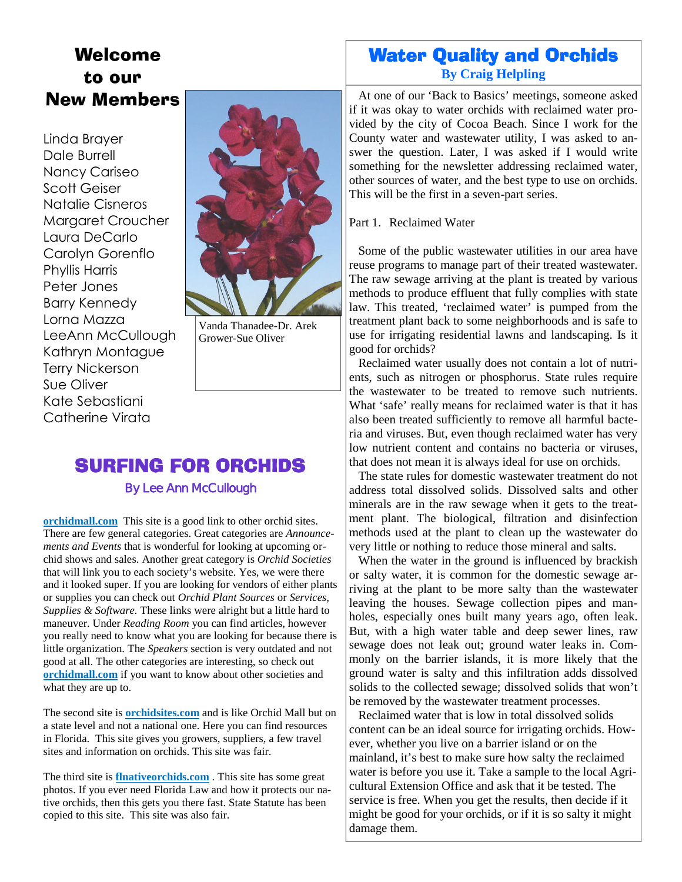## Welcome to our New Members

#### Linda Brayer Dale Burrell Nancy Cariseo Scott Geiser Natalie Cisneros Margaret Croucher Laura DeCarlo Carolyn Gorenflo Phyllis Harris Peter Jones Barry Kennedy Lorna Mazza LeeAnn McCullough Kathryn Montague Terry Nickerson Sue Oliver Kate Sebastiani Catherine Virata



Vanda Thanadee-Dr. Arek Grower-Sue Oliver

## SURFING FOR ORCHIDS

#### By Lee Ann McCullough

**orchidmall.com** This site is a good link to other orchid sites. There are few general categories. Great categories are *Announcements and Events* that is wonderful for looking at upcoming orchid shows and sales. Another great category is *Orchid Societies* that will link you to each society's website. Yes, we were there and it looked super. If you are looking for vendors of either plants or supplies you can check out *Orchid Plant Sources* or *Services, Supplies & Software.* These links were alright but a little hard to maneuver. Under *Reading Room* you can find articles, however you really need to know what you are looking for because there is little organization. The *Speakers* section is very outdated and not good at all. The other categories are interesting, so check out **orchidmall.com** if you want to know about other societies and what they are up to.

The second site is **orchidsites.com** and is like Orchid Mall but on a state level and not a national one. Here you can find resources in Florida. This site gives you growers, suppliers, a few travel sites and information on orchids. This site was fair.

The third site is **flnativeorchids.com** . This site has some great photos. If you ever need Florida Law and how it protects our native orchids, then this gets you there fast. State Statute has been copied to this site. This site was also fair.

### Water Quality and Orchids **By Craig Helpling**

At one of our 'Back to Basics' meetings, someone asked if it was okay to water orchids with reclaimed water provided by the city of Cocoa Beach. Since I work for the County water and wastewater utility, I was asked to answer the question. Later, I was asked if I would write something for the newsletter addressing reclaimed water, other sources of water, and the best type to use on orchids. This will be the first in a seven-part series.

Part 1. Reclaimed Water

Some of the public wastewater utilities in our area have reuse programs to manage part of their treated wastewater. The raw sewage arriving at the plant is treated by various methods to produce effluent that fully complies with state law. This treated, 'reclaimed water' is pumped from the treatment plant back to some neighborhoods and is safe to use for irrigating residential lawns and landscaping. Is it good for orchids?

Reclaimed water usually does not contain a lot of nutrients, such as nitrogen or phosphorus. State rules require the wastewater to be treated to remove such nutrients. What 'safe' really means for reclaimed water is that it has also been treated sufficiently to remove all harmful bacteria and viruses. But, even though reclaimed water has very low nutrient content and contains no bacteria or viruses, that does not mean it is always ideal for use on orchids.

The state rules for domestic wastewater treatment do not address total dissolved solids. Dissolved salts and other minerals are in the raw sewage when it gets to the treatment plant. The biological, filtration and disinfection methods used at the plant to clean up the wastewater do very little or nothing to reduce those mineral and salts.

When the water in the ground is influenced by brackish or salty water, it is common for the domestic sewage arriving at the plant to be more salty than the wastewater leaving the houses. Sewage collection pipes and manholes, especially ones built many years ago, often leak. But, with a high water table and deep sewer lines, raw sewage does not leak out; ground water leaks in. Commonly on the barrier islands, it is more likely that the ground water is salty and this infiltration adds dissolved solids to the collected sewage; dissolved solids that won't be removed by the wastewater treatment processes.

Reclaimed water that is low in total dissolved solids content can be an ideal source for irrigating orchids. However, whether you live on a barrier island or on the mainland, it's best to make sure how salty the reclaimed water is before you use it. Take a sample to the local Agricultural Extension Office and ask that it be tested. The service is free. When you get the results, then decide if it might be good for your orchids, or if it is so salty it might damage them.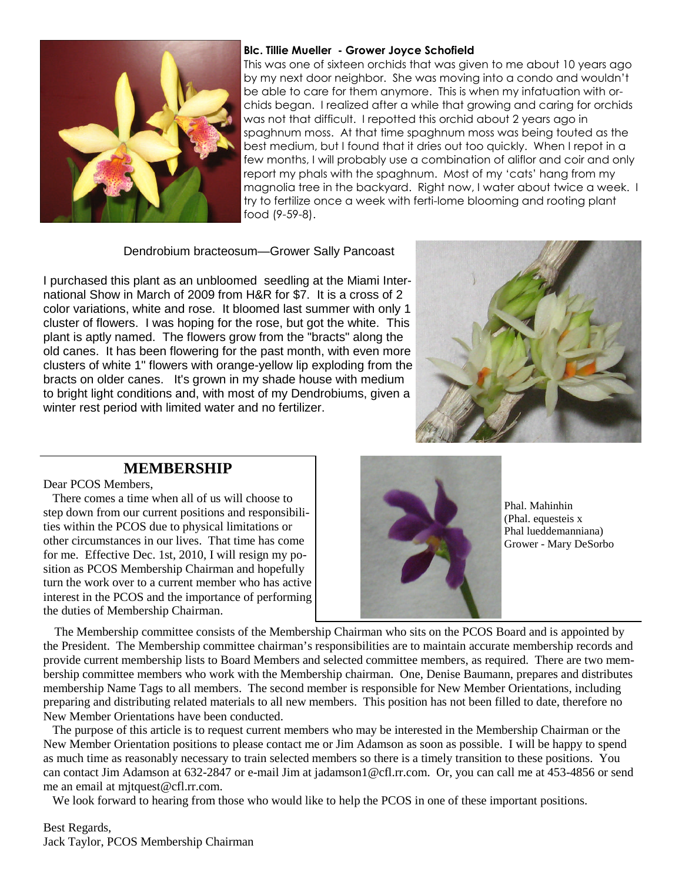

#### **Blc. Tillie Mueller - Grower Joyce Schofield**

This was one of sixteen orchids that was given to me about 10 years ago by my next door neighbor. She was moving into a condo and wouldn't be able to care for them anymore. This is when my infatuation with orchids began. I realized after a while that growing and caring for orchids was not that difficult. I repotted this orchid about 2 years ago in spaghnum moss. At that time spaghnum moss was being touted as the best medium, but I found that it dries out too quickly. When I repot in a few months, I will probably use a combination of aliflor and coir and only report my phals with the spaghnum. Most of my 'cats' hang from my magnolia tree in the backyard. Right now, I water about twice a week. I try to fertilize once a week with ferti-lome blooming and rooting plant food (9-59-8).

#### Dendrobium bracteosum—Grower Sally Pancoast

I purchased this plant as an unbloomed seedling at the Miami International Show in March of 2009 from H&R for \$7. It is a cross of 2 color variations, white and rose. It bloomed last summer with only 1 cluster of flowers. I was hoping for the rose, but got the white. This plant is aptly named. The flowers grow from the "bracts" along the old canes. It has been flowering for the past month, with even more clusters of white 1" flowers with orange-yellow lip exploding from the bracts on older canes. It's grown in my shade house with medium to bright light conditions and, with most of my Dendrobiums, given a winter rest period with limited water and no fertilizer.



#### **MEMBERSHIP**

Dear PCOS Members,

There comes a time when all of us will choose to step down from our current positions and responsibilities within the PCOS due to physical limitations or other circumstances in our lives. That time has come for me. Effective Dec. 1st, 2010, I will resign my position as PCOS Membership Chairman and hopefully turn the work over to a current member who has active interest in the PCOS and the importance of performing the duties of Membership Chairman.



Phal. Mahinhin (Phal. equesteis x Phal lueddemanniana) Grower - Mary DeSorbo

The Membership committee consists of the Membership Chairman who sits on the PCOS Board and is appointed by the President. The Membership committee chairman's responsibilities are to maintain accurate membership records and provide current membership lists to Board Members and selected committee members, as required. There are two membership committee members who work with the Membership chairman. One, Denise Baumann, prepares and distributes membership Name Tags to all members. The second member is responsible for New Member Orientations, including preparing and distributing related materials to all new members. This position has not been filled to date, therefore no New Member Orientations have been conducted.

The purpose of this article is to request current members who may be interested in the Membership Chairman or the New Member Orientation positions to please contact me or Jim Adamson as soon as possible. I will be happy to spend as much time as reasonably necessary to train selected members so there is a timely transition to these positions. You can contact Jim Adamson at 632-2847 or e-mail Jim at jadamson1@cfl.rr.com. Or, you can call me at 453-4856 or send me an email at mjtquest@cfl.rr.com.

We look forward to hearing from those who would like to help the PCOS in one of these important positions.